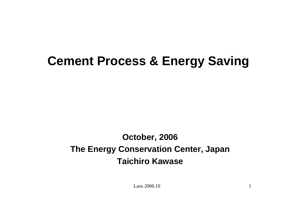# **Cement Process & Energy Saving**

## **October, 2006 The Energy Conservation Center, Japan Taichiro Kawase**

 $\text{Laos } 2006.10$  1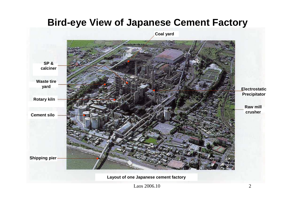#### **Bird-eye View of Japanese Cement Factory**



**Layout of one Japanese cement factory**

Laos 2006.10 2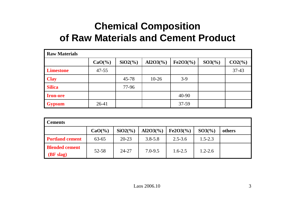## **Chemical Composition of Raw Materials and Cement Product**

| <b>Raw Materials</b> |                    |            |             |             |          |                  |
|----------------------|--------------------|------------|-------------|-------------|----------|------------------|
|                      | $CaO(\frac{9}{6})$ | $SiO2(\%)$ | $Al2O3(\%)$ | $Fe2O3(\%)$ | $SO3(*)$ | $CO2\frac{6}{9}$ |
| <b>Limestone</b>     | $47 - 55$          |            |             |             |          | $37-43$          |
| <b>Clay</b>          |                    | $45 - 78$  | $10-26$     | $3-9$       |          |                  |
| <b>Silica</b>        |                    | 77-96      |             |             |          |                  |
| <b>Iron-ore</b>      |                    |            |             | 40-90       |          |                  |
| <b>Gypsum</b>        | 26-41              |            |             | $37 - 59$   |          |                  |

| <b>Cements</b>                     |                    |            |             |             |             |        |
|------------------------------------|--------------------|------------|-------------|-------------|-------------|--------|
|                                    | $CaO(\frac{9}{6})$ | $SiO2(\%)$ | $Al2O3(\%)$ | $Fe2O3(\%)$ | $SO3(\%)$   | others |
| <b>Portland cement</b>             | $63 - 65$          | $20 - 23$  | $3.8 - 5.8$ | $2.5 - 3.6$ | $1.5 - 2.3$ |        |
| <b>Blended cement</b><br>(BF slag) | $52 - 58$          | 24-27      | $7.0 - 9.5$ | $1.6 - 2.5$ | $1.2 - 2.6$ |        |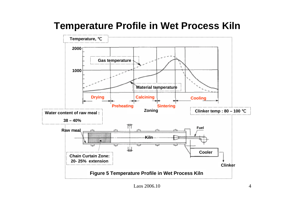## **Temperature Profile in Wet Process Kiln**

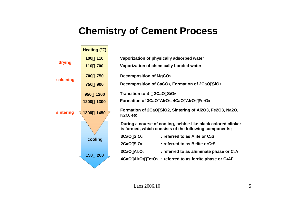## **Chemistry of Cement Process**

|           | Heating ()        |                                                                                                                         |
|-----------|-------------------|-------------------------------------------------------------------------------------------------------------------------|
|           | 100 110           | Vaporization of physically adsorbed water                                                                               |
| drying    | 110 700           | Vaporization of chemically bonded water                                                                                 |
| calcining | 750<br>700        | <b>Decomposition of MgCO3</b>                                                                                           |
|           | 750<br>900        | Decomposition of CaCO <sub>3</sub> , Formation of 2CaO SiO <sub>2</sub>                                                 |
|           | 1200<br>950       | <b>Transition to</b><br>2CaO SiO <sub>2</sub>                                                                           |
|           | 1300<br>1200      | Formation of 3CaO Al2O3, 4CaO Al2O3 Fe2O3                                                                               |
| sintering | 1300<br>1450      | Formation of 2CaO SiO2, Sintering of Al2O3, Fe2O3, Na2O,<br>K <sub>2</sub> O <sub>, etc</sub>                           |
|           |                   | During a course of cooling, pebble-like black colored clinker<br>is formed, which consists of the following components; |
|           | cooling           | 3CaO SiO <sub>2</sub><br>: referred to as Alite or C <sub>3</sub> S                                                     |
|           |                   | 2CaO SiO <sub>2</sub><br>: referred to as Belite or C <sub>2</sub> S                                                    |
|           | <b>150</b><br>200 | $3CaO$ Al <sub>2</sub> O <sub>3</sub><br>: referred to as aluminate phase or C <sub>3</sub> A                           |
|           |                   | 4CaO Al2O <sub>3</sub> Fe2O <sub>3</sub> : referred to as ferrite phase or C <sub>4</sub> AF                            |
|           |                   |                                                                                                                         |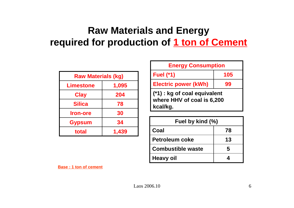## **Raw Materials and Energy required for production of 1 ton of Cement**

| <b>Raw Materials (kg)</b> |       |
|---------------------------|-------|
| <b>Limestone</b>          | 1,095 |
| <b>Clay</b>               | 204   |
| <b>Silica</b>             | 78    |
| <b>Iron-ore</b>           | 30    |
| <b>Gypsum</b>             | 34    |
| total                     | 1.439 |

| <b>Energy Consumption</b>                                              |     |  |
|------------------------------------------------------------------------|-----|--|
| <b>Fuel (*1)</b>                                                       | 105 |  |
| <b>Electric power (kWh)</b>                                            | 99  |  |
| (*1) : kg of coal equivalent<br>where HHV of coal is 6,200<br>kcal/kg. |     |  |

| Fuel by kind (%)              |    |  |
|-------------------------------|----|--|
| Coal                          | 78 |  |
| <b>Petroleum coke</b>         | 13 |  |
| <b>Combustible waste</b><br>5 |    |  |
| <b>Heavy oil</b>              |    |  |

**Base : 1 ton of cement**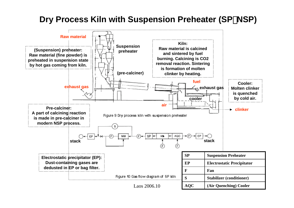#### **Dry Process Kiln with Suspension Preheater (SP**・**NSP)**

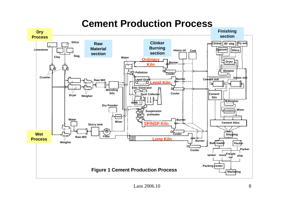### **Cement Production Process**

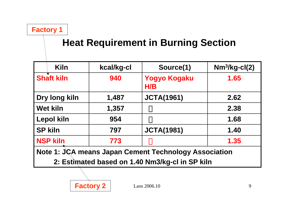**Factory 1**

## **Heat Requirement in Burning Section**

| Kiln              | kcal/kg-cl | Source(1)                  | $Nm^3/kg$ -cl(2) |
|-------------------|------------|----------------------------|------------------|
| <b>Shaft kiln</b> | 940        | <b>Yogyo Kogaku</b><br>H/B | 1.65             |
| Dry long kiln     | 1,487      | <b>JCTA(1961)</b>          | 2.62             |
| <b>Wet kiln</b>   | 1,357      |                            | 2.38             |
| <b>Lepol kiln</b> | 954        |                            | 1.68             |
| <b>SP kiln</b>    | 797        | <b>JCTA(1981)</b>          | 1.40             |
| <b>NSP kiln</b>   | 773        |                            | 1.35             |

**Note 1: JCA means Japan Cement Technology Association**

**2: Estimated based on 1.40 Nm3/kg-cl in SP kiln**

**Factory 2**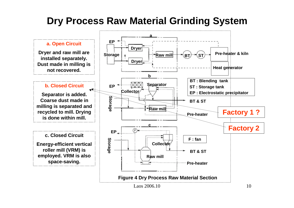## **Dry Process Raw Material Grinding System**

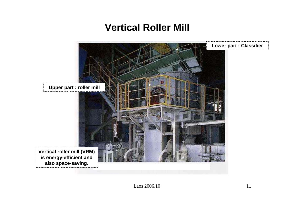#### **Vertical Roller Mill**

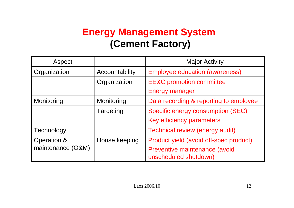## **Energy Management System (Cement Factory)**

| Aspect            |                | <b>Major Activity</b>                                  |
|-------------------|----------------|--------------------------------------------------------|
| Organization      | Accountability | <b>Employee education (awareness)</b>                  |
|                   | Organization   | <b>EE&amp;C</b> promotion committee                    |
|                   |                | <b>Energy manager</b>                                  |
| Monitoring        | Monitoring     | Data recording & reporting to employee                 |
|                   | Targeting      | Specific energy consumption (SEC)                      |
|                   |                | Key efficiency parameters                              |
| Technology        |                | <b>Technical review (energy audit)</b>                 |
| Operation &       | House keeping  | Product yield (avoid off-spec product)                 |
| maintenance (O&M) |                | Preventive maintenance (avoid<br>unscheduled shutdown) |
|                   |                |                                                        |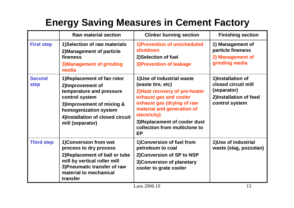## **Energy Saving Measures in Cement Factory**

|                              | <b>Raw material section</b>                                                                                                                                                                                  | <b>Clinker burning section</b>                                                                                                                                                                                                                                        | <b>Finishing section</b>                                                                            |
|------------------------------|--------------------------------------------------------------------------------------------------------------------------------------------------------------------------------------------------------------|-----------------------------------------------------------------------------------------------------------------------------------------------------------------------------------------------------------------------------------------------------------------------|-----------------------------------------------------------------------------------------------------|
| <b>First step</b>            | 1) Selection of raw materials<br>2) Management of particle<br>fineness<br><b>3)Management of grinding</b><br>media                                                                                           | 1) Prevention of unscheduled<br>shutdown<br>2) Selection of fuel<br><b>3)Prevention of leakage</b>                                                                                                                                                                    | 1) Management of<br>particle fineness<br>2) Management of<br>grinding media                         |
| <b>Second</b><br><b>step</b> | 1) Replacement of fan rotor<br>2)Improvement of<br>temperature and pressure<br>control system<br>3) Improvement of mixing &<br>homogenization system<br>4)Installation of closed circuit<br>mill (separator) | 1)Use of industrial waste<br>(waste tire, etc)<br>2) Heat recovery of pre-heater<br>exhaust gas and cooler<br>exhaust gas (drying of raw<br>material and generation of<br>electricity)<br>3) Replacement of cooler dust<br>collection from multiclone to<br><b>EP</b> | 1)Installation of<br>closed circuit mill<br>(separator)<br>2)Installation of feed<br>control system |
| <b>Third step</b>            | 1) Conversion from wet<br>process to dry process<br>2) Replacement of ball or tube<br>mill by vertical roller mill<br>3) Pneumatic transfer of raw<br>material to mechanical<br>transfer                     | 1) Conversion of fuel from<br>petroleum to coal<br>2) Conversion of SP to NSP<br>3) Conversion of planetary<br>cooler to grate cooler<br>$\bullet \bullet \bullet \bullet \bullet \bullet \bullet$                                                                    | 1) Use of industrial<br>waste (slag, pozzolan)                                                      |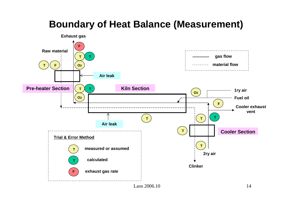## **Boundary of Heat Balance (Measurement)**

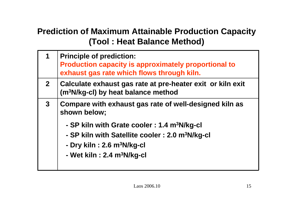#### **Prediction of Maximum Attainable Production Capacity (Tool : Heat Balance Method)**

|                | <b>Principle of prediction:</b><br><b>Production capacity is approximately proportional to</b><br>exhaust gas rate which flows through kiln. |
|----------------|----------------------------------------------------------------------------------------------------------------------------------------------|
| 2 <sup>1</sup> | Calculate exhaust gas rate at pre-heater exit or kiln exit<br>(m <sup>3</sup> N/kg-cl) by heat balance method                                |
| $\mathbf{3}$   | Compare with exhaust gas rate of well-designed kiln as<br>shown below;                                                                       |
|                | - SP kiln with Grate cooler : 1.4 m <sup>3</sup> N/kg-cl                                                                                     |
|                | - SP kiln with Satellite cooler : 2.0 m <sup>3</sup> N/kg-cl                                                                                 |
|                | - Dry kiln: 2.6 m <sup>3</sup> N/kg-cl                                                                                                       |
|                | - Wet kiln : 2.4 m <sup>3</sup> N/kg-cl                                                                                                      |
|                |                                                                                                                                              |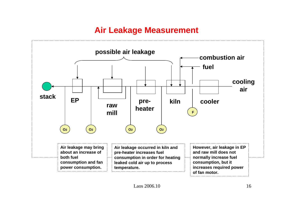#### **Air Leakage Measurement**

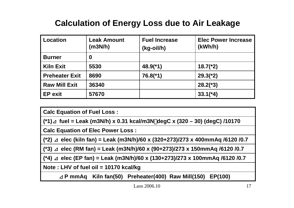#### **Calculation of Energy Loss due to Air Leakage**

| Location              | <b>Leak Amount</b><br>(m3N/h) | <b>Fuel Increase</b><br>$(kg$ -oil/h $)$ | <b>Elec Power Increase</b><br>(kWh/h) |
|-----------------------|-------------------------------|------------------------------------------|---------------------------------------|
| <b>Burner</b>         | 0                             |                                          |                                       |
| <b>Kiln Exit</b>      | 5530                          | $48.9$ <sup>(*1)</sup>                   | $18.7$ (*2)                           |
| <b>Preheater Exit</b> | 8690                          | $76.8$ <sup>(*1)</sup>                   | $29.3(^{\ast}2)$                      |
| <b>Raw Mill Exit</b>  | 36340                         |                                          | $28.2$ (*3)                           |
| <b>EP</b> exit        | 57670                         |                                          | $33.1({}^{\star}4)$                   |

|        | <b>Calc Equation of Fuel Loss:</b>                                     |
|--------|------------------------------------------------------------------------|
| $(*1)$ | fuel = Leak (m3N/h) x 0.31 kcal/m3N degC x (320 – 30) (degC) /10170    |
|        | <b>Calc Equation of Elec Power Loss:</b>                               |
| $(*2)$ | elec (kiln fan) = Leak (m3N/h)/60 x (320+273)/273 x 400mmAq /6120 /0.7 |
| $(*3)$ | elec (RM fan) = Leak (m3N/h)/60 x (90+273)/273 x 150mmAq /6120 /0.7    |
| $(*4)$ | elec (EP fan) = Leak (m3N/h)/60 x (130+273)/273 x 100mmAq /6120 /0.7   |
|        | Note: LHV of fuel oil = $10170$ kcal/kg                                |
|        | P mmAq Kiln fan(50) Preheater(400) Raw Mill(150)<br>EP(100)            |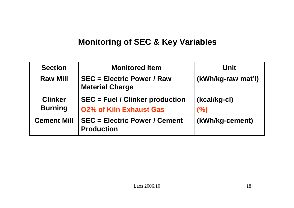#### **Monitoring of SEC & Key Variables**

| <b>Section</b>                   | <b>Monitored Item</b>                                                    | Unit                |  |  |  |
|----------------------------------|--------------------------------------------------------------------------|---------------------|--|--|--|
| <b>Raw Mill</b>                  | <b>SEC = Electric Power / Raw</b><br><b>Material Charge</b>              | (kWh/kg-raw mat'l)  |  |  |  |
| <b>Clinker</b><br><b>Burning</b> | <b>SEC = Fuel / Clinker production</b><br><b>O2% of Kiln Exhaust Gas</b> | (kcal/kg-cl)<br>(%) |  |  |  |
| <b>Cement Mill</b>               | <b>SEC = Electric Power / Cement</b><br><b>Production</b>                | (kWh/kg-cement)     |  |  |  |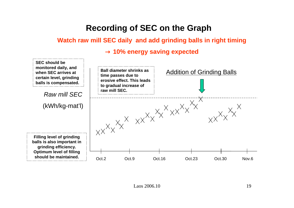#### **Recording of SEC on the Graph**

#### **Watch raw mill SEC daily and add grinding balls in right timing**

#### **10% energy saving expected**